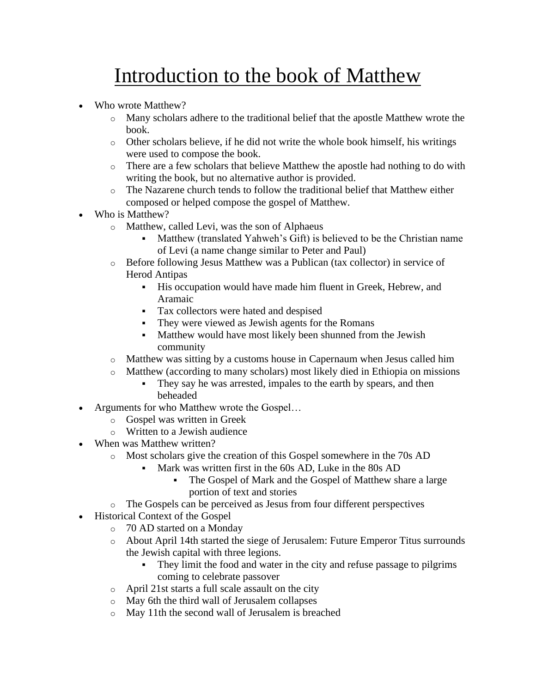## Introduction to the book of Matthew

- Who wrote Matthew?
	- o Many scholars adhere to the traditional belief that the apostle Matthew wrote the book.
	- $\circ$  Other scholars believe, if he did not write the whole book himself, his writings were used to compose the book.
	- o There are a few scholars that believe Matthew the apostle had nothing to do with writing the book, but no alternative author is provided.
	- o The Nazarene church tends to follow the traditional belief that Matthew either composed or helped compose the gospel of Matthew.
- Who is Matthew?
	- o Matthew, called Levi, was the son of Alphaeus
		- Matthew (translated Yahweh's Gift) is believed to be the Christian name of Levi (a name change similar to Peter and Paul)
	- o Before following Jesus Matthew was a Publican (tax collector) in service of Herod Antipas
		- His occupation would have made him fluent in Greek, Hebrew, and Aramaic
		- Tax collectors were hated and despised
		- **•** They were viewed as Jewish agents for the Romans
		- **Matthew would have most likely been shunned from the Jewish** community
	- o Matthew was sitting by a customs house in Capernaum when Jesus called him
	- o Matthew (according to many scholars) most likely died in Ethiopia on missions
		- They say he was arrested, impales to the earth by spears, and then beheaded
- Arguments for who Matthew wrote the Gospel...
	- o Gospel was written in Greek
	- o Written to a Jewish audience
- When was Matthew written?
	- o Most scholars give the creation of this Gospel somewhere in the 70s AD
		- Mark was written first in the 60s AD, Luke in the 80s AD
			- The Gospel of Mark and the Gospel of Matthew share a large portion of text and stories
- o The Gospels can be perceived as Jesus from four different perspectives
- Historical Context of the Gospel
	- o 70 AD started on a Monday
	- o About April 14th started the siege of Jerusalem: Future Emperor Titus surrounds the Jewish capital with three legions.
		- **•** They limit the food and water in the city and refuse passage to pilgrims coming to celebrate passover
	- o April 21st starts a full scale assault on the city
	- o May 6th the third wall of Jerusalem collapses
	- o May 11th the second wall of Jerusalem is breached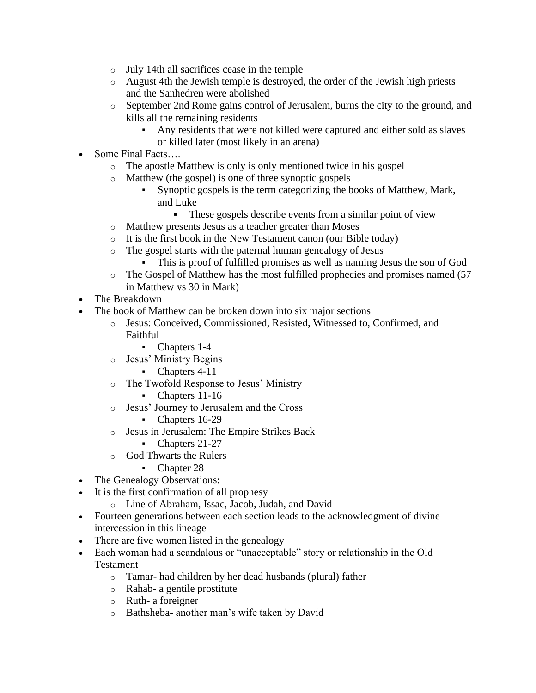- o July 14th all sacrifices cease in the temple
- o August 4th the Jewish temple is destroyed, the order of the Jewish high priests and the Sanhedren were abolished
- o September 2nd Rome gains control of Jerusalem, burns the city to the ground, and kills all the remaining residents
	- Any residents that were not killed were captured and either sold as slaves or killed later (most likely in an arena)
- Some Final Facts....
	- o The apostle Matthew is only is only mentioned twice in his gospel
	- o Matthew (the gospel) is one of three synoptic gospels
		- Synoptic gospels is the term categorizing the books of Matthew, Mark, and Luke
			- These gospels describe events from a similar point of view
	- o Matthew presents Jesus as a teacher greater than Moses
	- o It is the first book in the New Testament canon (our Bible today)
	- o The gospel starts with the paternal human genealogy of Jesus
		- This is proof of fulfilled promises as well as naming Jesus the son of God
	- o The Gospel of Matthew has the most fulfilled prophecies and promises named (57 in Matthew vs 30 in Mark)
- The Breakdown
- The book of Matthew can be broken down into six major sections
	- o Jesus: Conceived, Commissioned, Resisted, Witnessed to, Confirmed, and Faithful
		- Chapters 1-4
	- o Jesus' Ministry Begins
		- Chapters 4-11
	- o The Twofold Response to Jesus' Ministry
		- Chapters 11-16
	- o Jesus' Journey to Jerusalem and the Cross
		- Chapters 16-29
	- o Jesus in Jerusalem: The Empire Strikes Back
		- Chapters 21-27
	- o God Thwarts the Rulers
		- Chapter 28
- The Genealogy Observations:
- It is the first confirmation of all prophesy
	- o Line of Abraham, Issac, Jacob, Judah, and David
- Fourteen generations between each section leads to the acknowledgment of divine intercession in this lineage
- There are five women listed in the genealogy
- Each woman had a scandalous or "unacceptable" story or relationship in the Old Testament
	- o Tamar- had children by her dead husbands (plural) father
	- o Rahab- a gentile prostitute
	- o Ruth- a foreigner
	- o Bathsheba- another man's wife taken by David